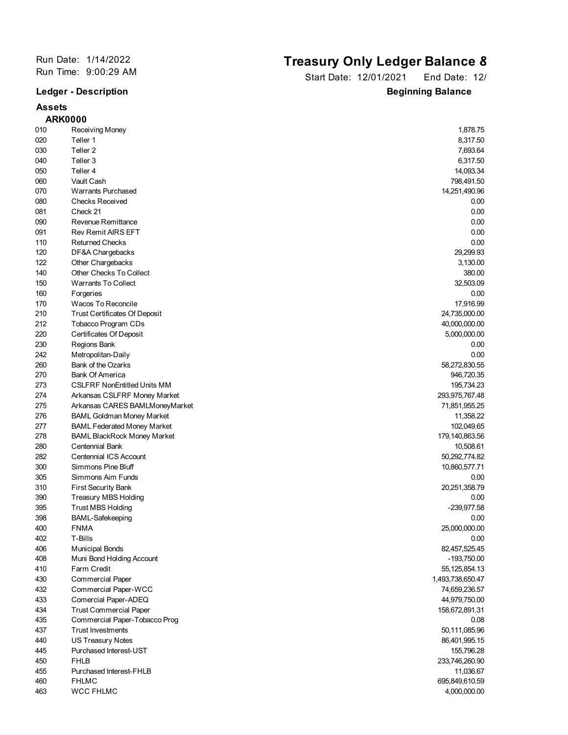## **Assets**

## Run Date: 1/14/2022<br>
Run Time: 9:00:29 AM<br> **Run Time: 9:00:29 AM**<br> **Run Time: 9:00:29 AM**

Start Date: 12/01/2021 End Date: 12/ **Ledger - Description Beginning Balance** 

|     | <b>ARK0000</b>                       |                  |
|-----|--------------------------------------|------------------|
| 010 | Receiving Money                      | 1,878.75         |
| 020 | Teller 1                             | 8,317.50         |
| 030 | Teller <sub>2</sub>                  | 7,693.64         |
| 040 | Teller 3                             | 6,317.50         |
| 050 | Teller 4                             | 14,093.34        |
| 060 | Vault Cash                           | 798,491.50       |
| 070 | <b>Warrants Purchased</b>            | 14,251,490.96    |
| 080 | <b>Checks Received</b>               | 0.00             |
| 081 | Check 21                             | 0.00             |
| 090 | Revenue Remittance                   | 0.00             |
| 091 | <b>Rev Remit AIRS EFT</b>            | 0.00             |
| 110 | <b>Returned Checks</b>               | 0.00             |
| 120 | DF&A Chargebacks                     | 29,299.93        |
| 122 | Other Chargebacks                    | 3,130.00         |
| 140 | Other Checks To Collect              | 380.00           |
| 150 | <b>Warrants To Collect</b>           | 32,503.09        |
| 160 | Forgeries                            | 0.00             |
| 170 | Wacos To Reconcile                   | 17,916.99        |
| 210 | <b>Trust Certificates Of Deposit</b> | 24,735,000.00    |
| 212 | Tobacco Program CDs                  | 40,000,000.00    |
| 220 | Certificates Of Deposit              | 5,000,000.00     |
| 230 | Regions Bank                         | 0.00             |
| 242 | Metropolitan-Daily                   | 0.00             |
| 260 | Bank of the Ozarks                   | 58,272,830.55    |
| 270 | <b>Bank Of America</b>               | 946,720.35       |
| 273 | <b>CSLFRF NonEntitled Units MM</b>   | 195,734.23       |
| 274 | Arkansas CSLFRF Money Market         | 293,975,767.48   |
| 275 | Arkansas CARES BAMLMoneyMarket       | 71,851,955.25    |
| 276 | <b>BAML Goldman Money Market</b>     | 11,358.22        |
| 277 | <b>BAML Federated Money Market</b>   | 102,049.65       |
| 278 | <b>BAML BlackRock Money Market</b>   | 179, 140, 863.56 |
| 280 | Centennial Bank                      | 10,508.61        |
| 282 | Centennial ICS Account               | 50,292,774.82    |
| 300 | Simmons Pine Bluff                   | 10,860,577.71    |
| 305 | Simmons Aim Funds                    | 0.00             |
| 310 | <b>First Security Bank</b>           | 20,251,358.79    |
| 390 | <b>Treasury MBS Holding</b>          | 0.00             |
| 395 | <b>Trust MBS Holding</b>             | -239,977.58      |
| 398 | BAML-Safekeeping                     | 0.00             |
| 400 | <b>FNMA</b>                          | 25,000,000.00    |
| 402 | T-Bills                              | 0.00             |
| 406 | <b>Municipal Bonds</b>               | 82,457,525.45    |
| 408 | Muni Bond Holding Account            | $-193,750.00$    |
| 410 | Farm Credit                          | 55, 125, 854. 13 |
| 430 | <b>Commercial Paper</b>              | 1,493,738,650.47 |
| 432 | Commercial Paper-WCC                 | 74,659,236.57    |
| 433 | Comercial Paper-ADEQ                 | 44,979,750.00    |
| 434 | <b>Trust Commercial Paper</b>        | 158,672,891.31   |
| 435 | Commercial Paper-Tobacco Prog        | 0.08             |
| 437 | <b>Trust Investments</b>             | 50,111,085.96    |
| 440 | <b>US Treasury Notes</b>             | 86,401,995.15    |
| 445 | Purchased Interest-UST               | 155,796.28       |
| 450 | <b>FHLB</b>                          | 233,746,260.90   |
| 455 | Purchased Interest-FHLB              | 11,036.67        |
| 460 | <b>FHLMC</b>                         | 695,849,610.59   |
| 463 | <b>WCC FHLMC</b>                     | 4,000,000.00     |
|     |                                      |                  |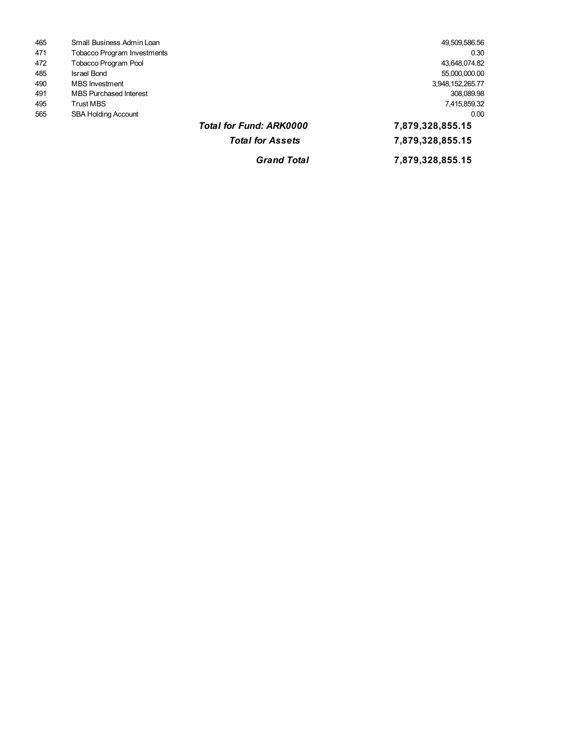| 465 | Small Business Admin Loan     |                                | 49,509,586.56    |  |
|-----|-------------------------------|--------------------------------|------------------|--|
| 471 | Tobacco Program Investments   |                                | 0.30             |  |
| 472 | Tobacco Program Pool          |                                | 43,648,074.82    |  |
| 485 | <b>Israel Bond</b>            |                                | 55,000,000.00    |  |
| 490 | <b>MBS</b> Investment         |                                | 3,948,152,265.77 |  |
| 491 | <b>MBS Purchased Interest</b> |                                | 308,089.98       |  |
| 495 | <b>Trust MBS</b>              |                                | 7,415,859.32     |  |
| 565 | <b>SBA Holding Account</b>    |                                | 0.00             |  |
|     |                               | <b>Total for Fund: ARK0000</b> | 7,879,328,855.15 |  |
|     |                               | <b>Total for Assets</b>        | 7,879,328,855.15 |  |
|     |                               | <b>Grand Total</b>             | 7,879,328,855.15 |  |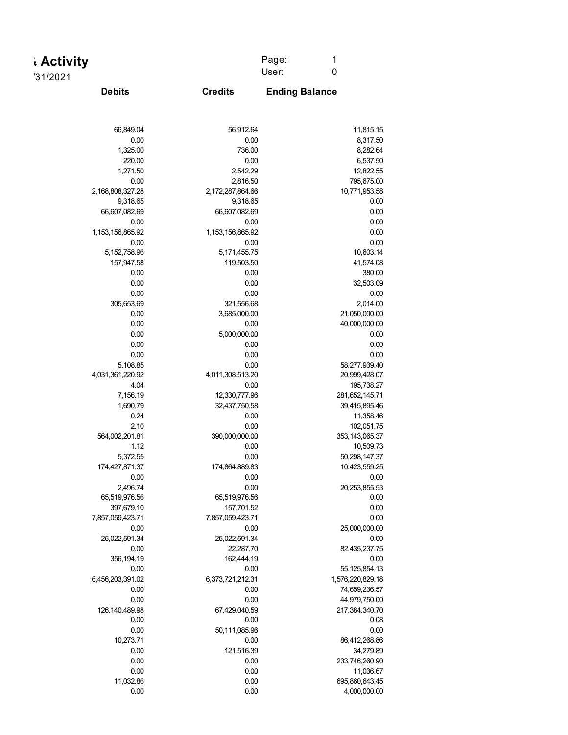| . Activity | Page: |  |
|------------|-------|--|
|            | User: |  |
| '31/2021   |       |  |

**Credits**

**Debits Ending Balance**

| 66,849.04         | 56,912.64        | 11,815.15         |
|-------------------|------------------|-------------------|
| 0.00              | 0.00             | 8,317.50          |
| 1,325.00          | 736.00           | 8,282.64          |
| 220.00            | 0.00             | 6,537.50          |
| 1,271.50          | 2,542.29         | 12,822.55         |
| 0.00              | 2,816.50         | 795,675.00        |
| 2,168,808,327.28  | 2,172,287,864.66 | 10,771,953.58     |
| 9,318.65          | 9,318.65         | 0.00              |
| 66,607,082.69     | 66,607,082.69    | 0.00              |
| 0.00              | 0.00             | 0.00              |
|                   |                  |                   |
| 1,153,156,865.92  | 1,153,156,865.92 | 0.00              |
| 0.00              | 0.00             | 0.00              |
| 5, 152, 758.96    | 5, 171, 455. 75  | 10,603.14         |
| 157,947.58        | 119,503.50       | 41,574.08         |
| 0.00              | 0.00             | 380.00            |
| 0.00              | 0.00             | 32,503.09         |
| 0.00              | 0.00             | 0.00              |
| 305,653.69        | 321,556.68       | 2,014.00          |
| 0.00              | 3,685,000.00     | 21,050,000.00     |
| 0.00              | 0.00             | 40,000,000.00     |
| 0.00              | 5,000,000.00     | 0.00              |
| 0.00              | 0.00             | 0.00              |
| 0.00              | 0.00             | 0.00              |
| 5,108.85          | 0.00             | 58,277,939.40     |
| 4,031,361,220.92  | 4,011,308,513.20 | 20,999,428.07     |
| 4.04              | 0.00             | 195,738.27        |
| 7,156.19          | 12,330,777.96    | 281,652,145.71    |
| 1,690.79          | 32,437,750.58    | 39,415,895.46     |
| 0.24              | 0.00             | 11,358.46         |
|                   |                  |                   |
| 2.10              | 0.00             | 102,051.75        |
| 564,002,201.81    | 390,000,000.00   | 353, 143, 065. 37 |
| 1.12              | 0.00             | 10,509.73         |
| 5,372.55          | 0.00             | 50,298,147.37     |
| 174,427,871.37    | 174,864,889.83   | 10,423,559.25     |
| 0.00              | 0.00             | 0.00              |
| 2,496.74          | 0.00             | 20,253,855.53     |
| 65,519,976.56     | 65,519,976.56    | 0.00              |
| 397,679.10        | 157,701.52       | 0.00              |
| 7,857,059,423.71  | 7,857,059,423.71 | 0.00              |
| 0.00              | 0.00             | 25,000,000.00     |
| 25,022,591.34     | 25,022,591.34    | 0.00              |
| 0.00              | 22,287.70        | 82,435,237.75     |
| 356, 194. 19      | 162,444.19       | 0.00              |
| 0.00              | 0.00             | 55, 125, 854. 13  |
| 6,456,203,391.02  | 6,373,721,212.31 | 1,576,220,829.18  |
| 0.00              | 0.00             | 74,659,236.57     |
| 0.00              | 0.00             | 44,979,750.00     |
| 126, 140, 489. 98 | 67,429,040.59    | 217,384,340.70    |
| 0.00              | 0.00             | 0.08              |
| 0.00              | 50,111,085.96    | 0.00              |
|                   |                  |                   |
| 10,273.71         | 0.00             | 86,412,268.86     |
| 0.00              | 121,516.39       | 34,279.89         |
| 0.00              | 0.00             | 233,746,260.90    |
| 0.00              | 0.00             | 11,036.67         |
| 11,032.86         | 0.00             | 695,860,643.45    |
| 0.00              | 0.00             | 4,000,000.00      |